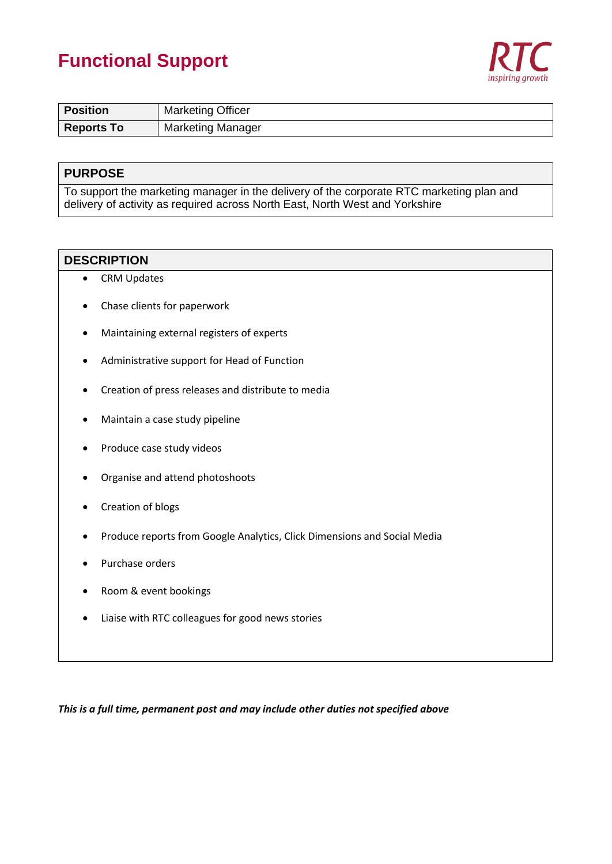## **Functional Support**



| Position          | <b>Marketing Officer</b> |  |
|-------------------|--------------------------|--|
| <b>Reports To</b> | <b>Marketing Manager</b> |  |

### **PURPOSE**

To support the marketing manager in the delivery of the corporate RTC marketing plan and delivery of activity as required across North East, North West and Yorkshire

### **DESCRIPTION**

- CRM Updates
- Chase clients for paperwork
- Maintaining external registers of experts
- Administrative support for Head of Function
- Creation of press releases and distribute to media
- Maintain a case study pipeline
- Produce case study videos
- Organise and attend photoshoots
- Creation of blogs
- Produce reports from Google Analytics, Click Dimensions and Social Media
- Purchase orders
- Room & event bookings
- Liaise with RTC colleagues for good news stories

*This is a full time, permanent post and may include other duties not specified above*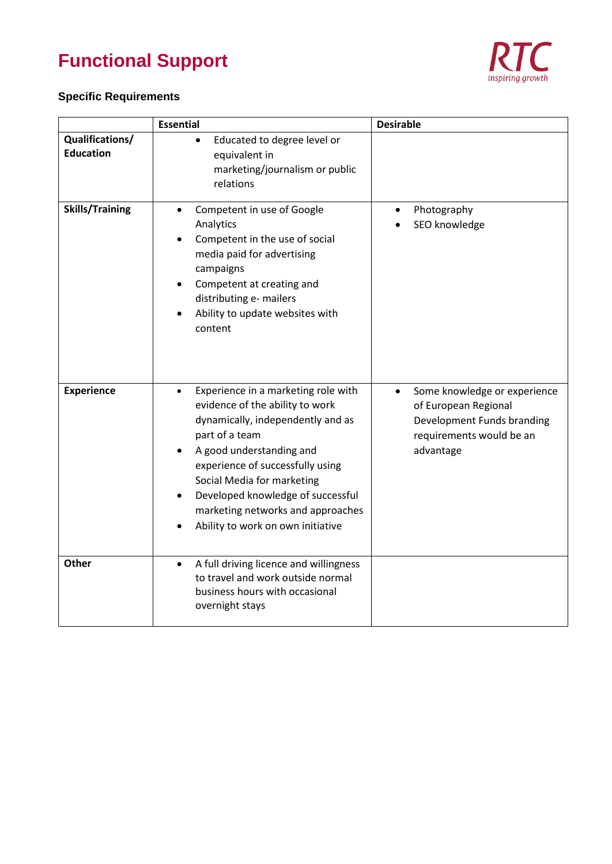# **Functional Support**



### **Specific Requirements**

|                                     | <b>Essential</b>                                                                                                                                                                                                                                                                                                                                        | <b>Desirable</b>                                                                                                                         |
|-------------------------------------|---------------------------------------------------------------------------------------------------------------------------------------------------------------------------------------------------------------------------------------------------------------------------------------------------------------------------------------------------------|------------------------------------------------------------------------------------------------------------------------------------------|
| Qualifications/<br><b>Education</b> | Educated to degree level or<br>$\bullet$<br>equivalent in<br>marketing/journalism or public<br>relations                                                                                                                                                                                                                                                |                                                                                                                                          |
| <b>Skills/Training</b>              | Competent in use of Google<br>$\bullet$<br>Analytics<br>Competent in the use of social<br>media paid for advertising<br>campaigns<br>Competent at creating and<br>distributing e- mailers<br>Ability to update websites with<br>content                                                                                                                 | Photography<br>SEO knowledge                                                                                                             |
| <b>Experience</b>                   | Experience in a marketing role with<br>$\bullet$<br>evidence of the ability to work<br>dynamically, independently and as<br>part of a team<br>A good understanding and<br>experience of successfully using<br>Social Media for marketing<br>Developed knowledge of successful<br>marketing networks and approaches<br>Ability to work on own initiative | Some knowledge or experience<br>$\bullet$<br>of European Regional<br>Development Funds branding<br>requirements would be an<br>advantage |
| <b>Other</b>                        | A full driving licence and willingness<br>$\bullet$<br>to travel and work outside normal<br>business hours with occasional<br>overnight stays                                                                                                                                                                                                           |                                                                                                                                          |